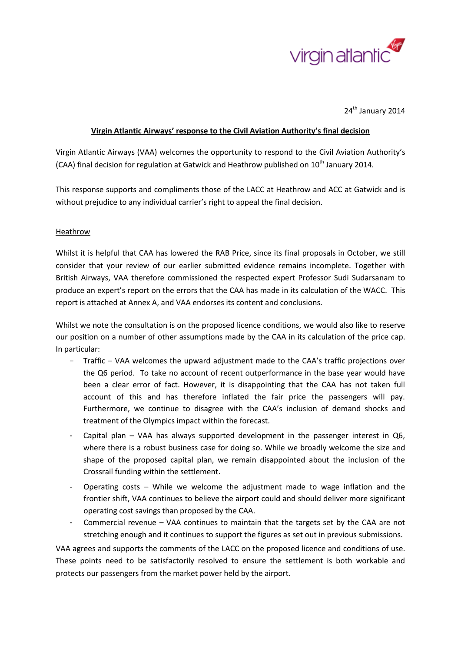

24<sup>th</sup> January 2014

## **Virgin Atlantic Airways' response to the Civil Aviation Authority's final decision**

Virgin Atlantic Airways (VAA) welcomes the opportunity to respond to the Civil Aviation Authority's (CAA) final decision for regulation at Gatwick and Heathrow published on 10<sup>th</sup> January 2014.

This response supports and compliments those of the LACC at Heathrow and ACC at Gatwick and is without prejudice to any individual carrier's right to appeal the final decision.

## **Heathrow**

Whilst it is helpful that CAA has lowered the RAB Price, since its final proposals in October, we still consider that your review of our earlier submitted evidence remains incomplete. Together with British Airways, VAA therefore commissioned the respected expert Professor Sudi Sudarsanam to produce an expert's report on the errors that the CAA has made in its calculation of the WACC. This report is attached at Annex A, and VAA endorses its content and conclusions.

Whilst we note the consultation is on the proposed licence conditions, we would also like to reserve our position on a number of other assumptions made by the CAA in its calculation of the price cap. In particular:

- − Traffic VAA welcomes the upward adjustment made to the CAA's traffic projections over the Q6 period. To take no account of recent outperformance in the base year would have been a clear error of fact. However, it is disappointing that the CAA has not taken full account of this and has therefore inflated the fair price the passengers will pay. Furthermore, we continue to disagree with the CAA's inclusion of demand shocks and treatment of the Olympics impact within the forecast.
- Capital plan VAA has always supported development in the passenger interest in Q6, where there is a robust business case for doing so. While we broadly welcome the size and shape of the proposed capital plan, we remain disappointed about the inclusion of the Crossrail funding within the settlement.
- Operating costs While we welcome the adjustment made to wage inflation and the frontier shift, VAA continues to believe the airport could and should deliver more significant operating cost savings than proposed by the CAA.
- Commercial revenue VAA continues to maintain that the targets set by the CAA are not stretching enough and it continues to support the figures as set out in previous submissions.

VAA agrees and supports the comments of the LACC on the proposed licence and conditions of use. These points need to be satisfactorily resolved to ensure the settlement is both workable and protects our passengers from the market power held by the airport.